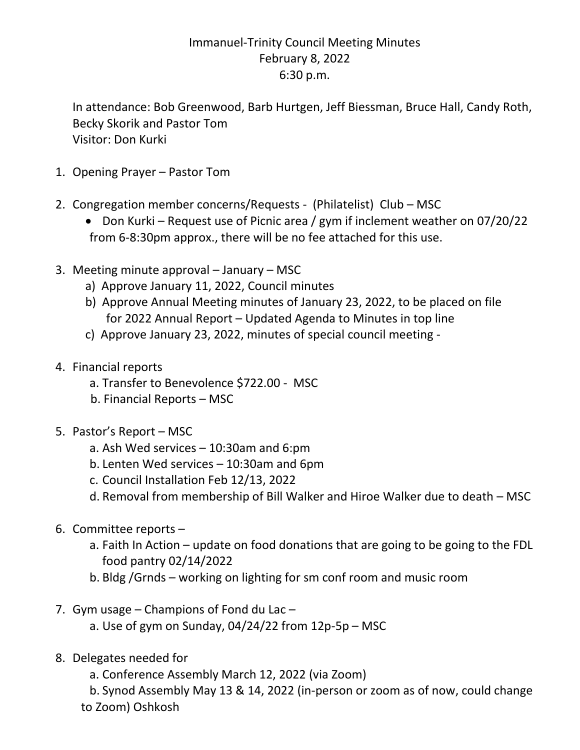## Immanuel-Trinity Council Meeting Minutes February 8, 2022 6:30 p.m.

In attendance: Bob Greenwood, Barb Hurtgen, Jeff Biessman, Bruce Hall, Candy Roth, Becky Skorik and Pastor Tom Visitor: Don Kurki

- 1. Opening Prayer Pastor Tom
- 2. Congregation member concerns/Requests (Philatelist) Club MSC
	- Don Kurki Request use of Picnic area / gym if inclement weather on 07/20/22 from 6-8:30pm approx., there will be no fee attached for this use.
- 3. Meeting minute approval January MSC
	- a) Approve January 11, 2022, Council minutes
	- b) Approve Annual Meeting minutes of January 23, 2022, to be placed on file for 2022 Annual Report – Updated Agenda to Minutes in top line
	- c) Approve January 23, 2022, minutes of special council meeting -
- 4. Financial reports
	- a. Transfer to Benevolence \$722.00 MSC
	- b. Financial Reports MSC
- 5. Pastor's Report MSC
	- a. Ash Wed services 10:30am and 6:pm
	- b. Lenten Wed services 10:30am and 6pm
	- c. Council Installation Feb 12/13, 2022
	- d. Removal from membership of Bill Walker and Hiroe Walker due to death MSC
- 6. Committee reports
	- a. Faith In Action update on food donations that are going to be going to the FDL food pantry 02/14/2022
	- b. Bldg /Grnds working on lighting for sm conf room and music room
- 7. Gym usage Champions of Fond du Lac
	- a. Use of gym on Sunday,  $04/24/22$  from  $12p-5p$  MSC
- 8. Delegates needed for
	- a. Conference Assembly March 12, 2022 (via Zoom)

b. Synod Assembly May 13 & 14, 2022 (in-person or zoom as of now, could change to Zoom) Oshkosh